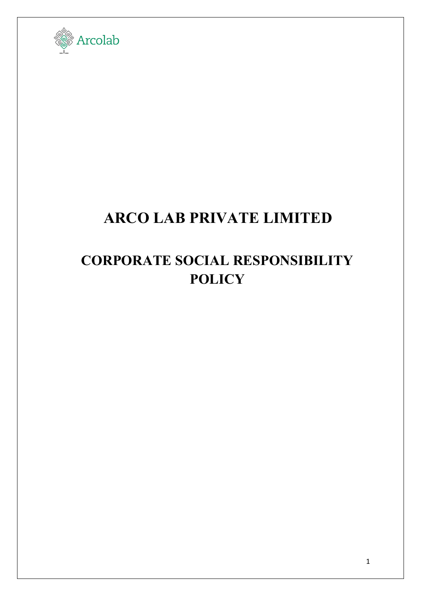

## **ARCO LAB PRIVATE LIMITED**

## **CORPORATE SOCIAL RESPONSIBILITY POLICY**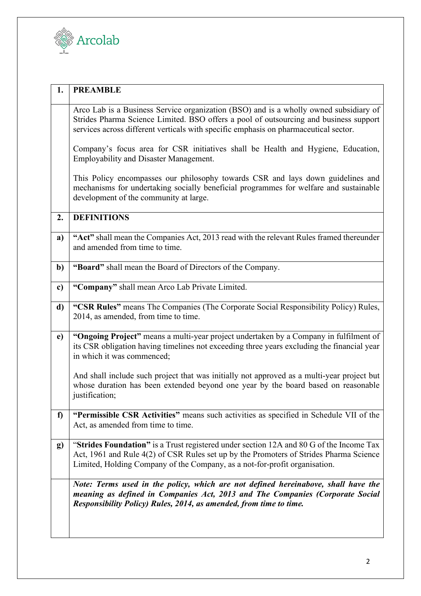

| 1. | <b>PREAMBLE</b>                                                                                                                                                                                                                                                        |
|----|------------------------------------------------------------------------------------------------------------------------------------------------------------------------------------------------------------------------------------------------------------------------|
|    | Arco Lab is a Business Service organization (BSO) and is a wholly owned subsidiary of<br>Strides Pharma Science Limited. BSO offers a pool of outsourcing and business support<br>services across different verticals with specific emphasis on pharmaceutical sector. |
|    | Company's focus area for CSR initiatives shall be Health and Hygiene, Education,<br>Employability and Disaster Management.                                                                                                                                             |
|    | This Policy encompasses our philosophy towards CSR and lays down guidelines and<br>mechanisms for undertaking socially beneficial programmes for welfare and sustainable<br>development of the community at large.                                                     |
| 2. | <b>DEFINITIONS</b>                                                                                                                                                                                                                                                     |
| a) | "Act" shall mean the Companies Act, 2013 read with the relevant Rules framed thereunder<br>and amended from time to time.                                                                                                                                              |
| b) | "Board" shall mean the Board of Directors of the Company.                                                                                                                                                                                                              |
| c) | "Company" shall mean Arco Lab Private Limited.                                                                                                                                                                                                                         |
| d) | "CSR Rules" means The Companies (The Corporate Social Responsibility Policy) Rules,<br>2014, as amended, from time to time.                                                                                                                                            |
| e) | "Ongoing Project" means a multi-year project undertaken by a Company in fulfilment of<br>its CSR obligation having timelines not exceeding three years excluding the financial year<br>in which it was commenced;                                                      |
|    | And shall include such project that was initially not approved as a multi-year project but<br>whose duration has been extended beyond one year by the board based on reasonable<br>justification;                                                                      |
| f  | "Permissible CSR Activities" means such activities as specified in Schedule VII of the<br>Act, as amended from time to time.                                                                                                                                           |
| g) | "Strides Foundation" is a Trust registered under section 12A and 80 G of the Income Tax<br>Act, 1961 and Rule 4(2) of CSR Rules set up by the Promoters of Strides Pharma Science<br>Limited, Holding Company of the Company, as a not-for-profit organisation.        |
|    | Note: Terms used in the policy, which are not defined hereinabove, shall have the<br>meaning as defined in Companies Act, 2013 and The Companies (Corporate Social<br>Responsibility Policy) Rules, 2014, as amended, from time to time.                               |
|    |                                                                                                                                                                                                                                                                        |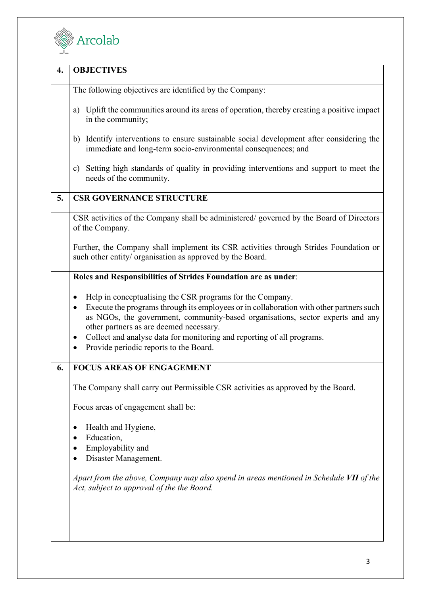

| 4. | <b>OBJECTIVES</b>                                                                                                                                                                                                                                                                                                                                                                                                            |
|----|------------------------------------------------------------------------------------------------------------------------------------------------------------------------------------------------------------------------------------------------------------------------------------------------------------------------------------------------------------------------------------------------------------------------------|
|    | The following objectives are identified by the Company:                                                                                                                                                                                                                                                                                                                                                                      |
|    | a) Uplift the communities around its areas of operation, thereby creating a positive impact<br>in the community;                                                                                                                                                                                                                                                                                                             |
|    | Identify interventions to ensure sustainable social development after considering the<br>b)<br>immediate and long-term socio-environmental consequences; and                                                                                                                                                                                                                                                                 |
|    | Setting high standards of quality in providing interventions and support to meet the<br>c)<br>needs of the community.                                                                                                                                                                                                                                                                                                        |
| 5. | <b>CSR GOVERNANCE STRUCTURE</b>                                                                                                                                                                                                                                                                                                                                                                                              |
|    | CSR activities of the Company shall be administered/governed by the Board of Directors<br>of the Company.                                                                                                                                                                                                                                                                                                                    |
|    | Further, the Company shall implement its CSR activities through Strides Foundation or<br>such other entity/ organisation as approved by the Board.                                                                                                                                                                                                                                                                           |
|    | Roles and Responsibilities of Strides Foundation are as under:                                                                                                                                                                                                                                                                                                                                                               |
|    | Help in conceptualising the CSR programs for the Company.<br>٠<br>Execute the programs through its employees or in collaboration with other partners such<br>$\bullet$<br>as NGOs, the government, community-based organisations, sector experts and any<br>other partners as are deemed necessary.<br>Collect and analyse data for monitoring and reporting of all programs.<br>٠<br>Provide periodic reports to the Board. |
| 6. | <b>FOCUS AREAS OF ENGAGEMENT</b>                                                                                                                                                                                                                                                                                                                                                                                             |
|    | The Company shall carry out Permissible CSR activities as approved by the Board.                                                                                                                                                                                                                                                                                                                                             |
|    | Focus areas of engagement shall be:                                                                                                                                                                                                                                                                                                                                                                                          |
|    | Health and Hygiene,<br>٠<br>Education,<br>Employability and<br>Disaster Management.                                                                                                                                                                                                                                                                                                                                          |
|    | Apart from the above, Company may also spend in areas mentioned in Schedule VII of the<br>Act, subject to approval of the the Board.                                                                                                                                                                                                                                                                                         |
|    |                                                                                                                                                                                                                                                                                                                                                                                                                              |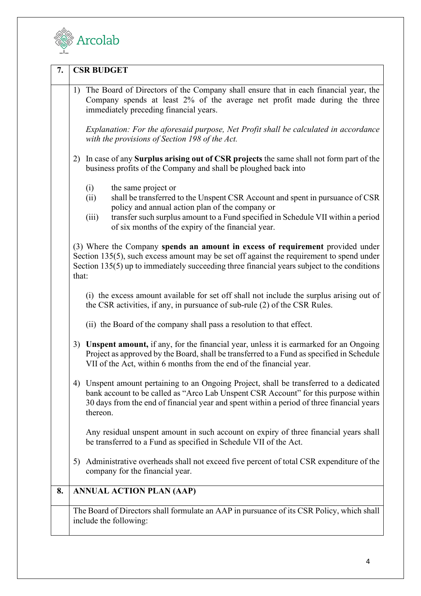

| 7. | <b>CSR BUDGET</b>                                                                                                                                                                                                                                                                                                         |
|----|---------------------------------------------------------------------------------------------------------------------------------------------------------------------------------------------------------------------------------------------------------------------------------------------------------------------------|
|    | The Board of Directors of the Company shall ensure that in each financial year, the<br>1)<br>Company spends at least 2% of the average net profit made during the three<br>immediately preceding financial years.                                                                                                         |
|    | Explanation: For the aforesaid purpose, Net Profit shall be calculated in accordance<br>with the provisions of Section 198 of the Act.                                                                                                                                                                                    |
|    | 2) In case of any <b>Surplus arising out of CSR projects</b> the same shall not form part of the<br>business profits of the Company and shall be ploughed back into                                                                                                                                                       |
|    | (i)<br>the same project or<br>shall be transferred to the Unspent CSR Account and spent in pursuance of CSR<br>(ii)<br>policy and annual action plan of the company or<br>transfer such surplus amount to a Fund specified in Schedule VII within a period<br>(iii)<br>of six months of the expiry of the financial year. |
|    | (3) Where the Company spends an amount in excess of requirement provided under<br>Section 135(5), such excess amount may be set off against the requirement to spend under<br>Section 135(5) up to immediately succeeding three financial years subject to the conditions<br>that:                                        |
|    | (i) the excess amount available for set off shall not include the surplus arising out of<br>the CSR activities, if any, in pursuance of sub-rule (2) of the CSR Rules.                                                                                                                                                    |
|    | (ii) the Board of the company shall pass a resolution to that effect.                                                                                                                                                                                                                                                     |
|    | 3) Unspent amount, if any, for the financial year, unless it is earmarked for an Ongoing<br>Project as approved by the Board, shall be transferred to a Fund as specified in Schedule<br>VII of the Act, within 6 months from the end of the financial year.                                                              |
|    | 4) Unspent amount pertaining to an Ongoing Project, shall be transferred to a dedicated<br>bank account to be called as "Arco Lab Unspent CSR Account" for this purpose within<br>30 days from the end of financial year and spent within a period of three financial years<br>thereon.                                   |
|    | Any residual unspent amount in such account on expiry of three financial years shall<br>be transferred to a Fund as specified in Schedule VII of the Act.                                                                                                                                                                 |
|    | 5) Administrative overheads shall not exceed five percent of total CSR expenditure of the<br>company for the financial year.                                                                                                                                                                                              |
| 8. | <b>ANNUAL ACTION PLAN (AAP)</b>                                                                                                                                                                                                                                                                                           |
|    | The Board of Directors shall formulate an AAP in pursuance of its CSR Policy, which shall<br>include the following:                                                                                                                                                                                                       |